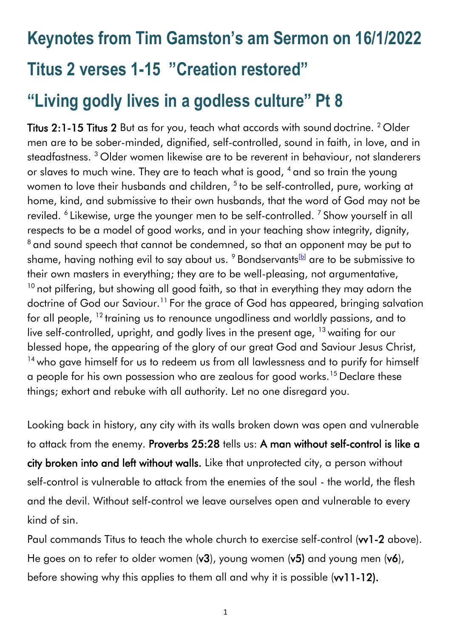# **Keynotes from Tim Gamston's am Sermon on 16/1/2022 Titus 2 verses 1-15 "Creation restored" "Living godly lives in a godless culture" Pt 8**

Titus 2:1-15 Titus 2 But as for you, teach what accords with sound doctrine. <sup>2</sup> Older men are to be sober-minded, dignified, self-controlled, sound in faith, in love, and in steadfastness. <sup>3</sup> Older women likewise are to be reverent in behaviour, not slanderers or slaves to much wine. They are to teach what is good, <sup>4</sup> and so train the young women to love their husbands and children, <sup>5</sup> to be self-controlled, pure, working at home, kind, and submissive to their own husbands, that the word of God may not be reviled. <sup>6</sup> Likewise, urge the younger men to be self-controlled. <sup>7</sup> Show yourself in all respects to be a model of good works, and in your teaching show integrity, dignity, <sup>8</sup> and sound speech that cannot be condemned, so that an opponent may be put to shame, having nothing evil to say about us.  $9$  Bondservants<sup>[\[b\]](https://www.biblegateway.com/passage/?search=Titus+2&version=ESV#fen-ESV-29901b)</sup> are to be submissive to their own masters in everything; they are to be well-pleasing, not argumentative,  $10$  not pilfering, but showing all good faith, so that in everything they may adorn the doctrine of God our Saviour.<sup>11</sup> For the grace of God has appeared, bringing salvation for all people, <sup>12</sup> training us to renounce ungodliness and worldly passions, and to live self-controlled, upright, and godly lives in the present age, <sup>13</sup> waiting for our blessed hope, the appearing of the glory of our great God and Saviour Jesus Christ, <sup>14</sup> who gave himself for us to redeem us from all lawlessness and to purify for himself a people for his own possession who are zealous for good works.<sup>15</sup> Declare these things; exhort and rebuke with all authority. Let no one disregard you.

Looking back in history, any city with its walls broken down was open and vulnerable to attack from the enemy. Proverbs 25:28 tells us: A man without self-control is like a city broken into and left without walls. Like that unprotected city, a person without self-control is vulnerable to attack from the enemies of the soul - the world, the flesh and the devil. Without self-control we leave ourselves open and vulnerable to every kind of sin.

Paul commands Titus to teach the whole church to exercise self-control (vv1-2 above). He goes on to refer to older women  $(v3)$ , young women  $(v5)$  and young men  $(v6)$ , before showing why this applies to them all and why it is possible (w11-12).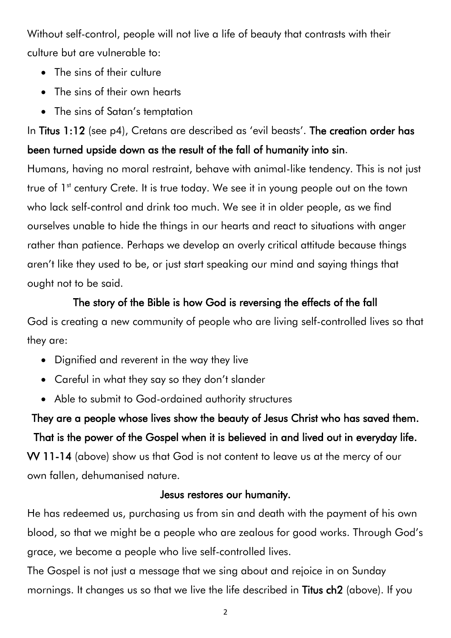Without self-control, people will not live a life of beauty that contrasts with their culture but are vulnerable to:

- The sins of their culture
- The sins of their own hearts
- The sins of Satan's temptation

In Titus 1:12 (see p4), Cretans are described as 'evil beasts'. The creation order has been turned upside down as the result of the fall of humanity into sin.

Humans, having no moral restraint, behave with animal-like tendency. This is not just true of 1<sup>st</sup> century Crete. It is true today. We see it in young people out on the town who lack self-control and drink too much. We see it in older people, as we find ourselves unable to hide the things in our hearts and react to situations with anger rather than patience. Perhaps we develop an overly critical attitude because things aren't like they used to be, or just start speaking our mind and saying things that ought not to be said.

## The story of the Bible is how God is reversing the effects of the fall

God is creating a new community of people who are living self-controlled lives so that they are:

- Dignified and reverent in the way they live
- Careful in what they say so they don't slander
- Able to submit to God-ordained authority structures

They are a people whose lives show the beauty of Jesus Christ who has saved them. That is the power of the Gospel when it is believed in and lived out in everyday life. VV 11-14 (above) show us that God is not content to leave us at the mercy of our own fallen, dehumanised nature.

### Jesus restores our humanity.

He has redeemed us, purchasing us from sin and death with the payment of his own blood, so that we might be a people who are zealous for good works. Through God's grace, we become a people who live self-controlled lives.

The Gospel is not just a message that we sing about and rejoice in on Sunday mornings. It changes us so that we live the life described in Titus ch2 (above). If you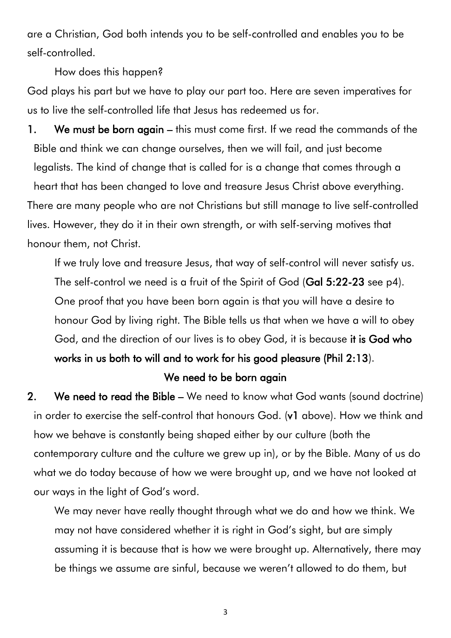are a Christian, God both intends you to be self-controlled and enables you to be self-controlled.

How does this happen?

God plays his part but we have to play our part too. Here are seven imperatives for us to live the self-controlled life that Jesus has redeemed us for.

1. We must be born again – this must come first. If we read the commands of the Bible and think we can change ourselves, then we will fail, and just become legalists. The kind of change that is called for is a change that comes through a heart that has been changed to love and treasure Jesus Christ above everything. There are many people who are not Christians but still manage to live self-controlled lives. However, they do it in their own strength, or with self-serving motives that honour them, not Christ.

If we truly love and treasure Jesus, that way of self-control will never satisfy us. The self-control we need is a fruit of the Spirit of God (Gal 5:22-23 see p4). One proof that you have been born again is that you will have a desire to honour God by living right. The Bible tells us that when we have a will to obey God, and the direction of our lives is to obey God, it is because it is God who works in us both to will and to work for his good pleasure (Phil 2:13).

#### We need to be born again

2. We need to read the Bible – We need to know what God wants (sound doctrine) in order to exercise the self-control that honours God. (v1 above). How we think and how we behave is constantly being shaped either by our culture (both the contemporary culture and the culture we grew up in), or by the Bible. Many of us do what we do today because of how we were brought up, and we have not looked at our ways in the light of God's word.

We may never have really thought through what we do and how we think. We may not have considered whether it is right in God's sight, but are simply assuming it is because that is how we were brought up. Alternatively, there may be things we assume are sinful, because we weren't allowed to do them, but

3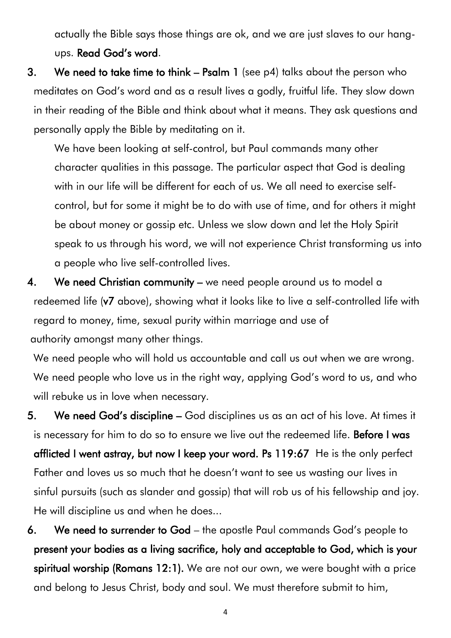actually the Bible says those things are ok, and we are just slaves to our hangups. Read God's word.

3. We need to take time to think – Psalm 1 (see p4) talks about the person who meditates on God's word and as a result lives a godly, fruitful life. They slow down in their reading of the Bible and think about what it means. They ask questions and personally apply the Bible by meditating on it.

We have been looking at self-control, but Paul commands many other character qualities in this passage. The particular aspect that God is dealing with in our life will be different for each of us. We all need to exercise selfcontrol, but for some it might be to do with use of time, and for others it might be about money or gossip etc. Unless we slow down and let the Holy Spirit speak to us through his word, we will not experience Christ transforming us into a people who live self-controlled lives.

4. We need Christian community – we need people around us to model a redeemed life (v7 above), showing what it looks like to live a self-controlled life with regard to money, time, sexual purity within marriage and use of authority amongst many other things.

We need people who will hold us accountable and call us out when we are wrong. We need people who love us in the right way, applying God's word to us, and who will rebuke us in love when necessary.

5. We need God's discipline – God disciplines us as an act of his love. At times it is necessary for him to do so to ensure we live out the redeemed life. Before I was afflicted I went astray, but now I keep your word. Ps 119:67 He is the only perfect Father and loves us so much that he doesn't want to see us wasting our lives in sinful pursuits (such as slander and gossip) that will rob us of his fellowship and joy. He will discipline us and when he does...

6. We need to surrender to God – the apostle Paul commands God's people to present your bodies as a living sacrifice, holy and acceptable to God, which is your spiritual worship (Romans 12:1). We are not our own, we were bought with a price and belong to Jesus Christ, body and soul. We must therefore submit to him,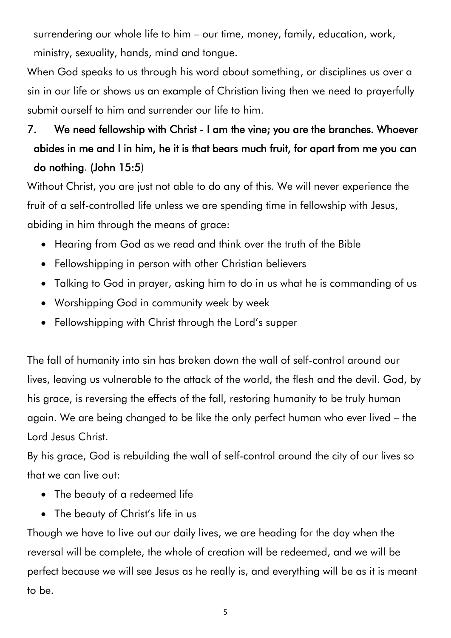surrendering our whole life to him – our time, money, family, education, work, ministry, sexuality, hands, mind and tongue.

When God speaks to us through his word about something, or disciplines us over a sin in our life or shows us an example of Christian living then we need to prayerfully submit ourself to him and surrender our life to him.

# 7. We need fellowship with Christ - I am the vine; you are the branches. Whoever abides in me and I in him, he it is that bears much fruit, for apart from me you can do nothing. (John 15:5)

Without Christ, you are just not able to do any of this. We will never experience the fruit of a self-controlled life unless we are spending time in fellowship with Jesus, abiding in him through the means of grace:

- Hearing from God as we read and think over the truth of the Bible
- Fellowshipping in person with other Christian believers
- Talking to God in prayer, asking him to do in us what he is commanding of us
- Worshipping God in community week by week
- Fellowshipping with Christ through the Lord's supper

The fall of humanity into sin has broken down the wall of self-control around our lives, leaving us vulnerable to the attack of the world, the flesh and the devil. God, by his grace, is reversing the effects of the fall, restoring humanity to be truly human again. We are being changed to be like the only perfect human who ever lived – the Lord Jesus Christ.

By his grace, God is rebuilding the wall of self-control around the city of our lives so that we can live out:

- The beauty of a redeemed life
- The beauty of Christ's life in us

Though we have to live out our daily lives, we are heading for the day when the reversal will be complete, the whole of creation will be redeemed, and we will be perfect because we will see Jesus as he really is, and everything will be as it is meant to be.

5